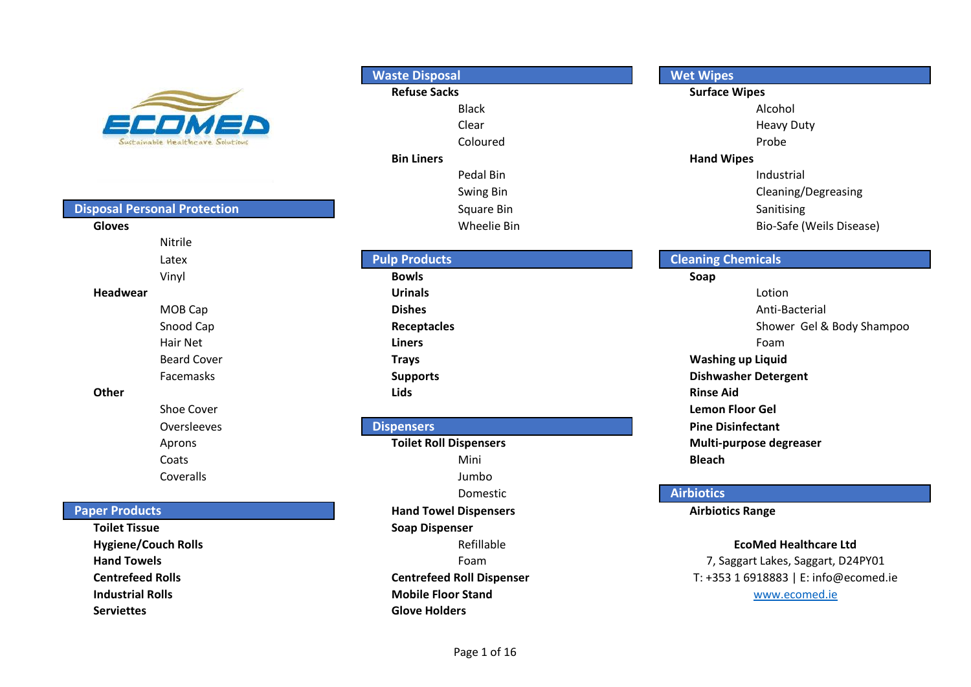

#### **Disposal Personal Protection**

| Gloves             | Wheelie Bin          |                    |
|--------------------|----------------------|--------------------|
| Nitrile            |                      |                    |
| Latex              | <b>Pulp Products</b> | <b>Cleaning Ch</b> |
| Vinyl              | <b>Bowls</b>         | Soap               |
| Headwear           | <b>Urinals</b>       |                    |
| MOB Cap            | <b>Dishes</b>        |                    |
| Snood Cap          | Receptacles          |                    |
| Hair Net           | <b>Liners</b>        |                    |
| <b>Beard Cover</b> | <b>Trays</b>         | <b>Washing</b>     |
| Facemasks          | <b>Supports</b>      | <b>Dishwash</b>    |
| <b>Other</b>       | <b>Lids</b>          | <b>Rinse Aid</b>   |
| Shoe Cover         |                      | Lemon Fl           |
| Oversleeves        | <b>Dispensers</b>    | <b>Pine Disir</b>  |
|                    | - -                  | ------             |

#### **Paper Products**

**Hand Towels Foam Industrial Rolls Mobile Floor Stand Serviettes Glove Holders**

## **Refuse Sacks Surface Wipes** Black Alcohol Clear **Clear Heavy Duty** Coloured **Probe Bin Liners Hand Wipes** Pedal Bin **Industrial** Square Bin Sanitising **Gloves Example 2 Constant Constant Constant Constant Constant Constant Constant Constant Constant Constant Constant Constant Constant Constant Constant Constant Constant Constant Constant Constant Constant Constant Co Waste Disposal**

#### **Pulp Products**

#### **Dispensers**

Aprons **Toilet Roll Dispensers Multi-purpose degreaser** Coats Mini **Bleach** Coveralls Jumbo Domestic **Hand Towel Dispensers Airbiotics Range Toilet Tissue Soap Dispenser Hygiene/Couch Rolls Refillable** Refillable **Centrefeed Rolls Centrefeed Roll Dispenser**

#### **Wet Wipes**

Swing Bin **Cleaning**/Degreasing

# **Headwear Urinals** Lotion **Cleaning Chemicals**

MOB Cap **Dishes Dishes Dishes Dishes Dishes Dishes Dishes Dishes Dishes Dishes Dishes Dishes Dishes Dishes Dishes Dishes Dishes Dishes Dishes Dishes Dishes Dishes Dishes Dishes Receptacles Receptacles Receptacles Shower Gel & Body Shampoo** Hair Net **Liners** Foam Beard Cover **Trays Washing up Liquid Supports CONSIDEREGATE: Dishwasher Detergent** Shoe Cover **Lemon Floor Gel Pine Disinfectant** 

### **Airbiotics**

#### **EcoMed Healthcare Ltd**

www.ecomed.ie T: +353 1 6918883 | E: info@ecomed.ie 7, Saggart Lakes, Saggart, D24PY01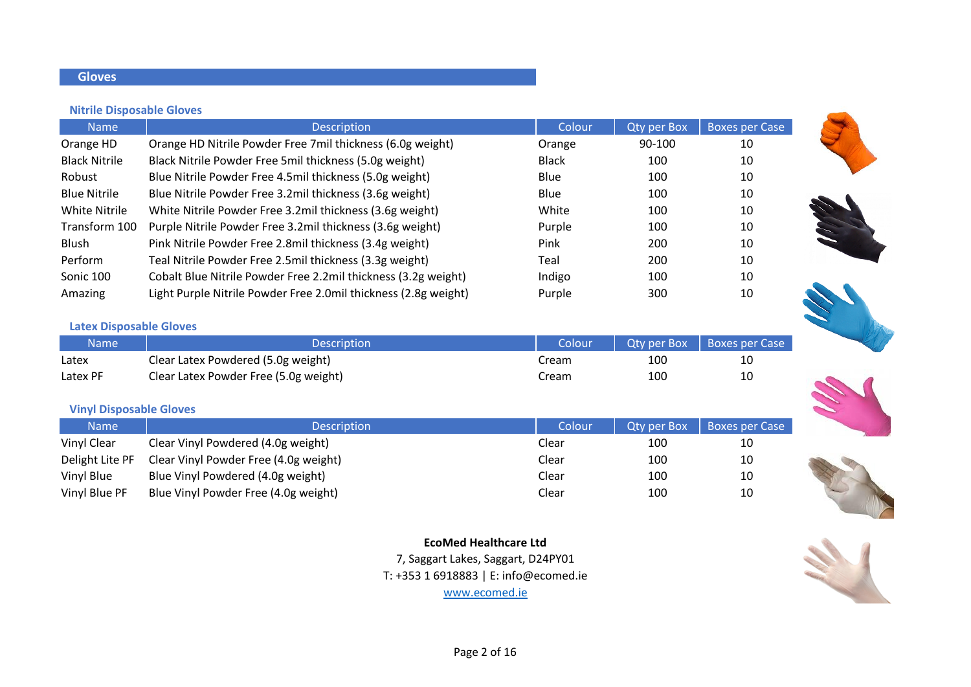### **Gloves**

#### **Nitrile Disposable Gloves**

| <b>Name</b>          | <b>Description</b>                                              | Colour       | <b>Qty per Box</b> | <b>Boxes per Case</b> |
|----------------------|-----------------------------------------------------------------|--------------|--------------------|-----------------------|
| Orange HD            | Orange HD Nitrile Powder Free 7mil thickness (6.0g weight)      | Orange       | 90-100             | 10                    |
| <b>Black Nitrile</b> | Black Nitrile Powder Free 5mil thickness (5.0g weight)          | <b>Black</b> | 100                | 10                    |
| Robust               | Blue Nitrile Powder Free 4.5mil thickness (5.0g weight)         | Blue         | 100                | 10                    |
| <b>Blue Nitrile</b>  | Blue Nitrile Powder Free 3.2mil thickness (3.6g weight)         | Blue         | 100                | 10                    |
| <b>White Nitrile</b> | White Nitrile Powder Free 3.2mil thickness (3.6g weight)        | White        | 100                | 10                    |
| Transform 100        | Purple Nitrile Powder Free 3.2mil thickness (3.6g weight)       | Purple       | 100                | 10                    |
| Blush                | Pink Nitrile Powder Free 2.8mil thickness (3.4g weight)         | Pink         | 200                | 10                    |
| Perform              | Teal Nitrile Powder Free 2.5mil thickness (3.3g weight)         | Teal         | 200                | 10                    |
| Sonic 100            | Cobalt Blue Nitrile Powder Free 2.2mil thickness (3.2g weight)  | Indigo       | 100                | 10                    |
| Amazing              | Light Purple Nitrile Powder Free 2.0mil thickness (2.8g weight) | Purple       | 300                | 10                    |



| Name <sup>1</sup> | <b>Description</b>                    | Colour |     | Qty per Box   Boxes per Case |
|-------------------|---------------------------------------|--------|-----|------------------------------|
| Latex             | Clear Latex Powdered (5.0g weight)    | Cream  | 100 | 10                           |
| Latex PF          | Clear Latex Powder Free (5.0g weight) | Cream  | 100 | 10                           |

#### **Vinyl Disposable Gloves**

| <b>Name</b>     | <b>Description</b>                    | Colour | Oty per Box | <b>Boxes per Case</b> |
|-----------------|---------------------------------------|--------|-------------|-----------------------|
| Vinyl Clear     | Clear Vinyl Powdered (4.0g weight)    | Clear  | 100         | 10                    |
| Delight Lite PF | Clear Vinyl Powder Free (4.0g weight) | Clear  | 100         | 10                    |
| Vinyl Blue      | Blue Vinyl Powdered (4.0g weight)     | Clear  | 100         | 10                    |
| Vinyl Blue PF   | Blue Vinyl Powder Free (4.0g weight)  | Clear  | 100         | 10                    |





**EcoMed Healthcare Ltd** 7, Saggart Lakes, Saggart, D24PY01 T: +353 1 6918883 | E: info@ecomed.ie



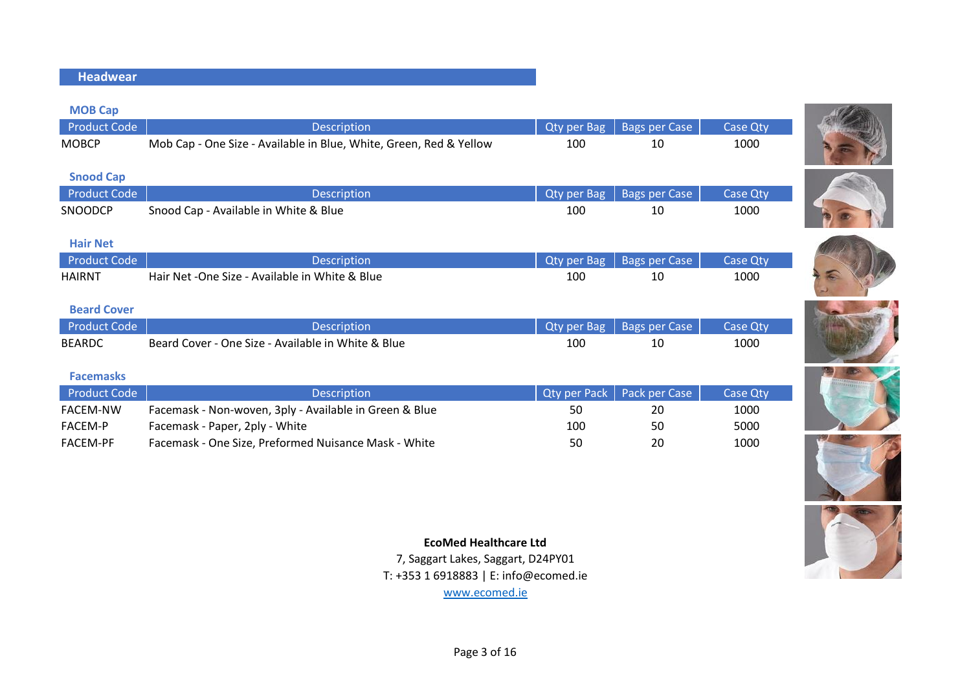#### **Headwear**

| <b>MOB Cap</b>      |                                                                    |                     |                      |                 |
|---------------------|--------------------------------------------------------------------|---------------------|----------------------|-----------------|
| <b>Product Code</b> | <b>Description</b>                                                 | Qty per Bag         | <b>Bags per Case</b> | <b>Case Qty</b> |
| <b>MOBCP</b>        | Mob Cap - One Size - Available in Blue, White, Green, Red & Yellow | 100                 | 10                   | 1000            |
|                     |                                                                    |                     |                      |                 |
| <b>Snood Cap</b>    |                                                                    |                     |                      |                 |
| <b>Product Code</b> | <b>Description</b>                                                 | <b>Qty per Bag</b>  | <b>Bags per Case</b> | Case Qty        |
| SNOODCP             | Snood Cap - Available in White & Blue                              | 100                 | 10                   | 1000            |
|                     |                                                                    |                     |                      |                 |
| <b>Hair Net</b>     |                                                                    |                     |                      |                 |
| <b>Product Code</b> | <b>Description</b>                                                 | <b>Qty per Bag</b>  | <b>Bags per Case</b> | <b>Case Qty</b> |
| <b>HAIRNT</b>       | Hair Net - One Size - Available in White & Blue                    | 100                 | 10                   | 1000            |
|                     |                                                                    |                     |                      |                 |
| <b>Beard Cover</b>  |                                                                    |                     |                      |                 |
| <b>Product Code</b> | <b>Description</b>                                                 | <b>Qty per Bag</b>  | <b>Bags per Case</b> | Case Qty        |
| <b>BEARDC</b>       | Beard Cover - One Size - Available in White & Blue                 | 100                 | 10                   | 1000            |
|                     |                                                                    |                     |                      |                 |
| <b>Facemasks</b>    |                                                                    |                     |                      |                 |
| <b>Product Code</b> | <b>Description</b>                                                 | <b>Qty per Pack</b> | Pack per Case        | <b>Case Qty</b> |
| <b>FACEM-NW</b>     | Facemask - Non-woven, 3ply - Available in Green & Blue             | 50                  | 20                   | 1000            |
| <b>FACEM-P</b>      | Facemask - Paper, 2ply - White                                     | 100                 | 50                   | 5000            |
| FACEM-PF            | Facemask - One Size, Preformed Nuisance Mask - White               | 50                  | 20                   | 1000            |
|                     |                                                                    |                     |                      |                 |















#### **EcoMed Healthcare Ltd**

7, Saggart Lakes, Saggart, D24PY01

T: +353 1 6918883 | E: info@ecomed.ie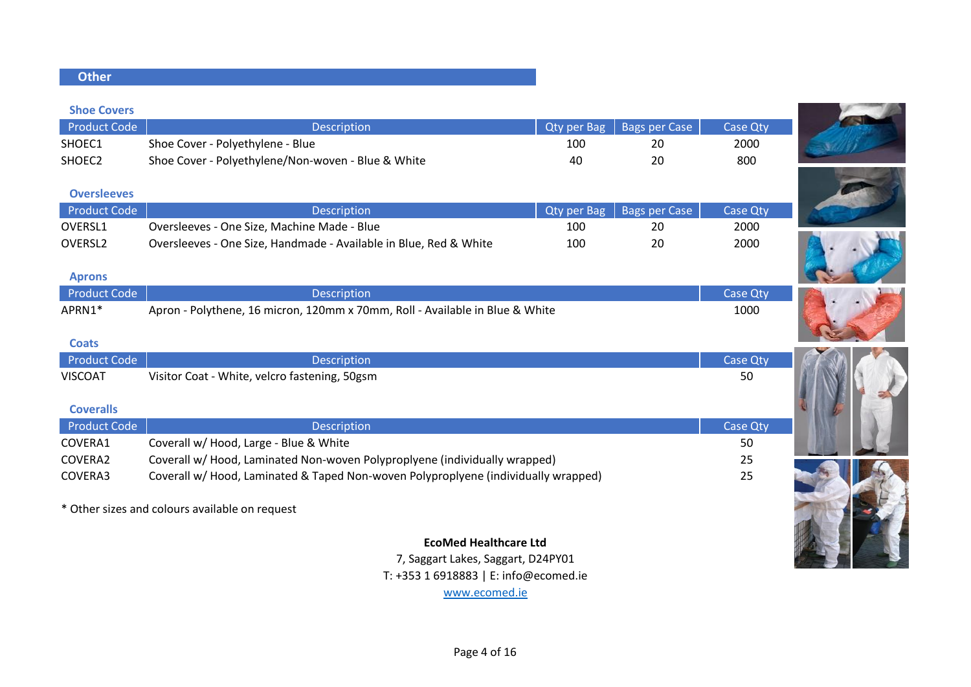#### **Other**

#### **Shoe Covers**

| Product Code       | Description                                        |     | Qty per Bag   Bags per Case | <b>Case Qtv</b> |
|--------------------|----------------------------------------------------|-----|-----------------------------|-----------------|
| SHOEC1             | Shoe Cover - Polyethylene - Blue                   | 10C | 20                          | 2000            |
| SHOEC <sub>2</sub> | Shoe Cover - Polyethylene/Non-woven - Blue & White | 40  | 20                          | 800             |

#### **Oversleeves**

| Product Code        | <b>Description</b>                                                |     | Qty per Bag   Bags per Case | Case Oty |
|---------------------|-------------------------------------------------------------------|-----|-----------------------------|----------|
| OVERSL1             | Oversleeves - One Size, Machine Made - Blue                       | 100 | 20                          | 2000     |
| OVERSL <sub>2</sub> | Oversleeves - One Size, Handmade - Available in Blue, Red & White | 100 | 20                          | 2000     |

#### **Aprons**

| <b>Product Code</b> | Description.                                                                 | Case Otv |  |
|---------------------|------------------------------------------------------------------------------|----------|--|
| APRN1*              | Apron - Polythene, 16 micron, 120mm x 70mm, Roll - Available in Blue & White | 1000     |  |

#### **Coats**

| Product Code     | <b>Description</b>                            | Case Qty |
|------------------|-----------------------------------------------|----------|
| <b>VISCOAT</b>   | Visitor Coat - White, velcro fastening, 50gsm | 50       |
|                  |                                               |          |
| <b>Coveralls</b> |                                               |          |

| <b>Product Code</b> | <b>Description</b>                                                                 | <b>Case Qty</b> |
|---------------------|------------------------------------------------------------------------------------|-----------------|
| COVERA1             | Coverall w/ Hood, Large - Blue & White                                             | 50              |
| COVERA2             | Coverall w/ Hood, Laminated Non-woven Polyproplyene (individually wrapped)         | 25              |
| COVERA3             | Coverall w/ Hood, Laminated & Taped Non-woven Polyproplyene (individually wrapped) | 25              |

\* Other sizes and colours available on request

#### **EcoMed Healthcare Ltd**

7, Saggart Lakes, Saggart, D24PY01

T: +353 1 6918883 | E: info@ecomed.ie













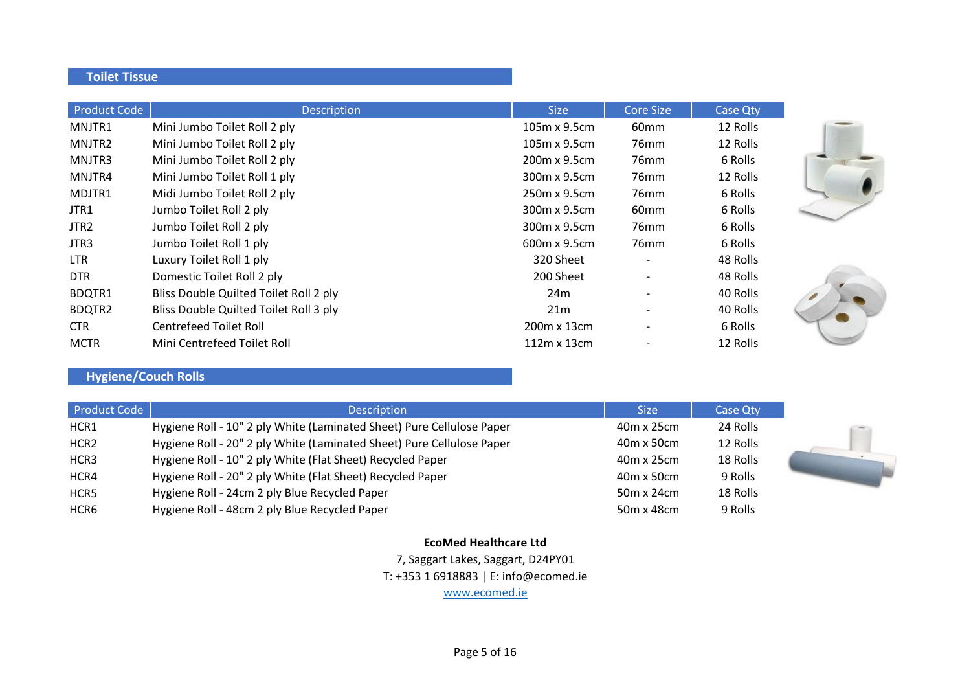#### **Toilet Tissue**

| <b>Product Code</b> | <b>Description</b>                     | <b>Size</b>         | <b>Core Size</b> | <b>Case Qty</b> |
|---------------------|----------------------------------------|---------------------|------------------|-----------------|
| MNJTR1              | Mini Jumbo Toilet Roll 2 ply           | $105m \times 9.5cm$ | 60 <sub>mm</sub> | 12 Rolls        |
| MNJTR2              | Mini Jumbo Toilet Roll 2 ply           | 105m x 9.5cm        | 76 <sub>mm</sub> | 12 Rolls        |
| MNJTR3              | Mini Jumbo Toilet Roll 2 ply           | 200m x 9.5cm        | 76 <sub>mm</sub> | 6 Rolls         |
| MNJTR4              | Mini Jumbo Toilet Roll 1 ply           | 300m x 9.5cm        | 76 <sub>mm</sub> | 12 Rolls        |
| MDJTR1              | Midi Jumbo Toilet Roll 2 ply           | 250m x 9.5cm        | 76 <sub>mm</sub> | 6 Rolls         |
| JTR1                | Jumbo Toilet Roll 2 ply                | 300m x 9.5cm        | 60 <sub>mm</sub> | 6 Rolls         |
| JTR <sub>2</sub>    | Jumbo Toilet Roll 2 ply                | 300m x 9.5cm        | 76 <sub>mm</sub> | 6 Rolls         |
| JTR3                | Jumbo Toilet Roll 1 ply                | 600m x 9.5cm        | 76 <sub>mm</sub> | 6 Rolls         |
| LTR.                | Luxury Toilet Roll 1 ply               | 320 Sheet           |                  | 48 Rolls        |
| <b>DTR</b>          | Domestic Toilet Roll 2 ply             | 200 Sheet           |                  | 48 Rolls        |
| <b>BDQTR1</b>       | Bliss Double Quilted Toilet Roll 2 ply | 24 <sub>m</sub>     |                  | 40 Rolls        |
| <b>BDQTR2</b>       | Bliss Double Quilted Toilet Roll 3 ply | 21m                 |                  | 40 Rolls        |
| CTR.                | <b>Centrefeed Toilet Roll</b>          | 200m x 13cm         |                  | 6 Rolls         |
| <b>MCTR</b>         | Mini Centrefeed Toilet Roll            | $112m \times 13cm$  |                  | 12 Rolls        |



| Product Code     | <b>Description</b>                                                    | <b>Size</b>       | <b>Case Qtv</b> |  |
|------------------|-----------------------------------------------------------------------|-------------------|-----------------|--|
| HCR1             | Hygiene Roll - 10" 2 ply White (Laminated Sheet) Pure Cellulose Paper | 40m x 25cm        | 24 Rolls        |  |
| HCR <sub>2</sub> | Hygiene Roll - 20" 2 ply White (Laminated Sheet) Pure Cellulose Paper | $40m \times 50cm$ | 12 Rolls        |  |
| HCR3             | Hygiene Roll - 10" 2 ply White (Flat Sheet) Recycled Paper            | 40m x 25cm        | 18 Rolls        |  |
| HCR4             | Hygiene Roll - 20" 2 ply White (Flat Sheet) Recycled Paper            | $40m \times 50cm$ | 9 Rolls         |  |
| HCR5             | Hygiene Roll - 24cm 2 ply Blue Recycled Paper                         | 50m x 24cm        | 18 Rolls        |  |
| HCR6             | Hygiene Roll - 48cm 2 ply Blue Recycled Paper                         | 50m x 48cm        | 9 Rolls         |  |



7, Saggart Lakes, Saggart, D24PY01 T: +353 1 6918883 | E: info@ecomed.ie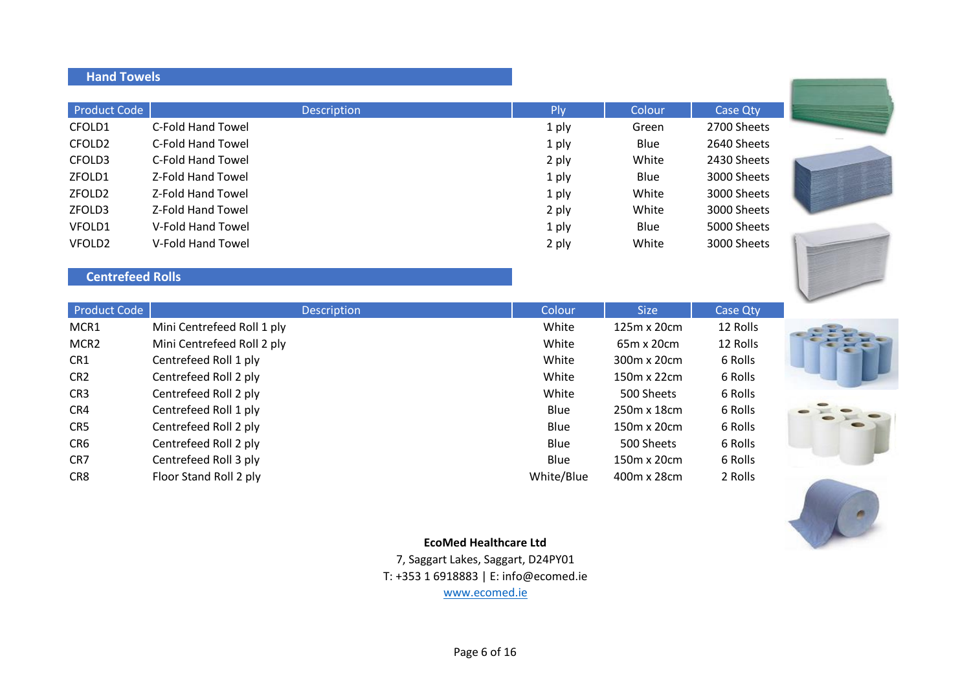## **Hand Towels**

| Product Code       | <b>Description</b> | Plv   | Colour      | Case Qty    |
|--------------------|--------------------|-------|-------------|-------------|
| CFOLD1             | C-Fold Hand Towel  | 1 ply | Green       | 2700 Sheets |
| CFOLD <sub>2</sub> | C-Fold Hand Towel  | 1 ply | <b>Blue</b> | 2640 Sheets |
| CFOLD3             | C-Fold Hand Towel  | 2 ply | White       | 2430 Sheets |
| ZFOLD1             | Z-Fold Hand Towel  | 1 ply | <b>Blue</b> | 3000 Sheets |
| ZFOLD <sub>2</sub> | Z-Fold Hand Towel  | 1 ply | White       | 3000 Sheets |
| ZFOLD3             | Z-Fold Hand Towel  | 2 ply | White       | 3000 Sheets |
| VFOLD1             | V-Fold Hand Towel  | 1 ply | <b>Blue</b> | 5000 Sheets |
| VFOLD <sub>2</sub> | V-Fold Hand Towel  | 2 ply | White       | 3000 Sheets |

## **Centrefeed Rolls**

| <b>Product Code</b> | <b>Description</b>         | Colour     | <b>Size</b> | Case Qty |  |
|---------------------|----------------------------|------------|-------------|----------|--|
| MCR1                | Mini Centrefeed Roll 1 ply | White      | 125m x 20cm | 12 Rolls |  |
| MCR2                | Mini Centrefeed Roll 2 ply | White      | 65m x 20cm  | 12 Rolls |  |
| CR1                 | Centrefeed Roll 1 ply      | White      | 300m x 20cm | 6 Rolls  |  |
| CR <sub>2</sub>     | Centrefeed Roll 2 ply      | White      | 150m x 22cm | 6 Rolls  |  |
| CR <sub>3</sub>     | Centrefeed Roll 2 ply      | White      | 500 Sheets  | 6 Rolls  |  |
| CR4                 | Centrefeed Roll 1 ply      | Blue       | 250m x 18cm | 6 Rolls  |  |
| CR5                 | Centrefeed Roll 2 ply      | Blue       | 150m x 20cm | 6 Rolls  |  |
| CR6                 | Centrefeed Roll 2 ply      | Blue       | 500 Sheets  | 6 Rolls  |  |
| CR7                 | Centrefeed Roll 3 ply      | Blue       | 150m x 20cm | 6 Rolls  |  |
| CR8                 | Floor Stand Roll 2 ply     | White/Blue | 400m x 28cm | 2 Rolls  |  |





#### **EcoMed Healthcare Ltd**

7, Saggart Lakes, Saggart, D24PY01 T: +353 1 6918883 | E: info@ecomed.ie www.ecomed.ie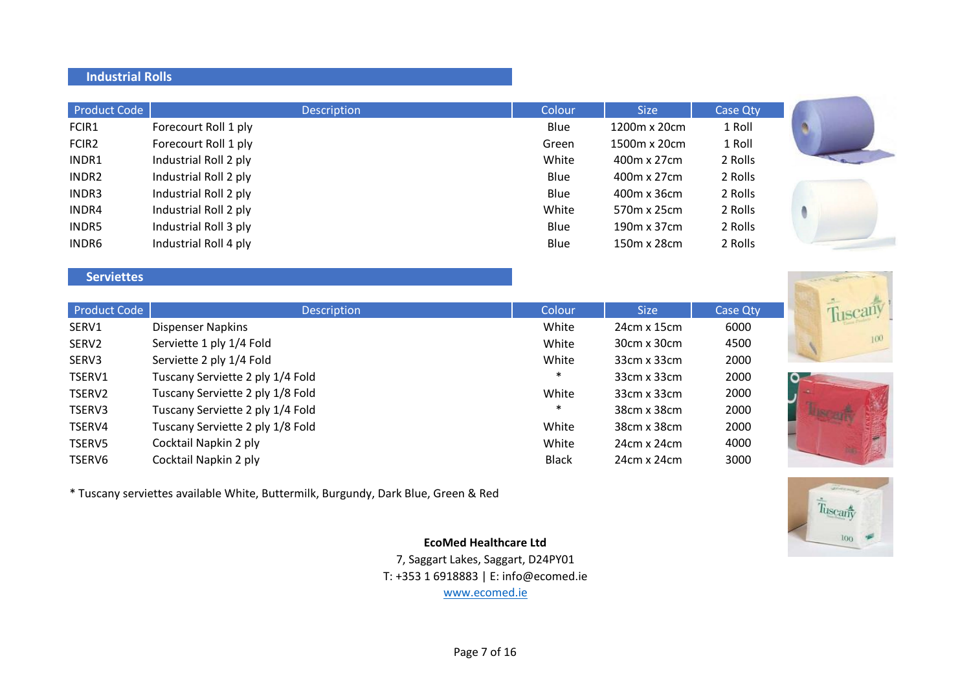#### **Industrial Rolls**

| Product Code      | <b>Description</b>    | Colour | <b>Size</b>  | Case Qty |
|-------------------|-----------------------|--------|--------------|----------|
| FCIR1             | Forecourt Roll 1 ply  | Blue   | 1200m x 20cm | 1 Roll   |
| FCIR <sub>2</sub> | Forecourt Roll 1 ply  | Green  | 1500m x 20cm | 1 Roll   |
| INDR1             | Industrial Roll 2 ply | White  | 400m x 27cm  | 2 Rolls  |
| INDR <sub>2</sub> | Industrial Roll 2 ply | Blue   | 400m x 27cm  | 2 Rolls  |
| INDR3             | Industrial Roll 2 ply | Blue   | 400m x 36cm  | 2 Rolls  |
| INDR4             | Industrial Roll 2 ply | White  | 570m x 25cm  | 2 Rolls  |
| INDR5             | Industrial Roll 3 ply | Blue   | 190m x 37cm  | 2 Rolls  |
| INDR6             | Industrial Roll 4 ply | Blue   | 150m x 28cm  | 2 Rolls  |

## **Serviettes**

| Product Code      | <b>Description</b>               | Colour       | <b>Size</b>        | Case Qty |
|-------------------|----------------------------------|--------------|--------------------|----------|
| SERV1             | <b>Dispenser Napkins</b>         | White        | 24cm x 15cm        | 6000     |
| SERV <sub>2</sub> | Serviette 1 ply 1/4 Fold         | White        | $30cm \times 30cm$ | 4500     |
| SERV3             | Serviette 2 ply 1/4 Fold         | White        | $33cm \times 33cm$ | 2000     |
| TSERV1            | Tuscany Serviette 2 ply 1/4 Fold | $\ast$       | $33cm \times 33cm$ | 2000     |
| TSERV2            | Tuscany Serviette 2 ply 1/8 Fold | White        | $33cm \times 33cm$ | 2000     |
| TSERV3            | Tuscany Serviette 2 ply 1/4 Fold | $\ast$       | 38cm x 38cm        | 2000     |
| TSERV4            | Tuscany Serviette 2 ply 1/8 Fold | White        | 38cm x 38cm        | 2000     |
| TSERV5            | Cocktail Napkin 2 ply            | White        | $24cm \times 24cm$ | 4000     |
| TSERV6            | Cocktail Napkin 2 ply            | <b>Black</b> | $24cm \times 24cm$ | 3000     |

\* Tuscany serviettes available White, Buttermilk, Burgundy, Dark Blue, Green & Red



## **EcoMed Healthcare Ltd**

7, Saggart Lakes, Saggart, D24PY01 T: +353 1 6918883 | E: info@ecomed.ie www.ecomed.ie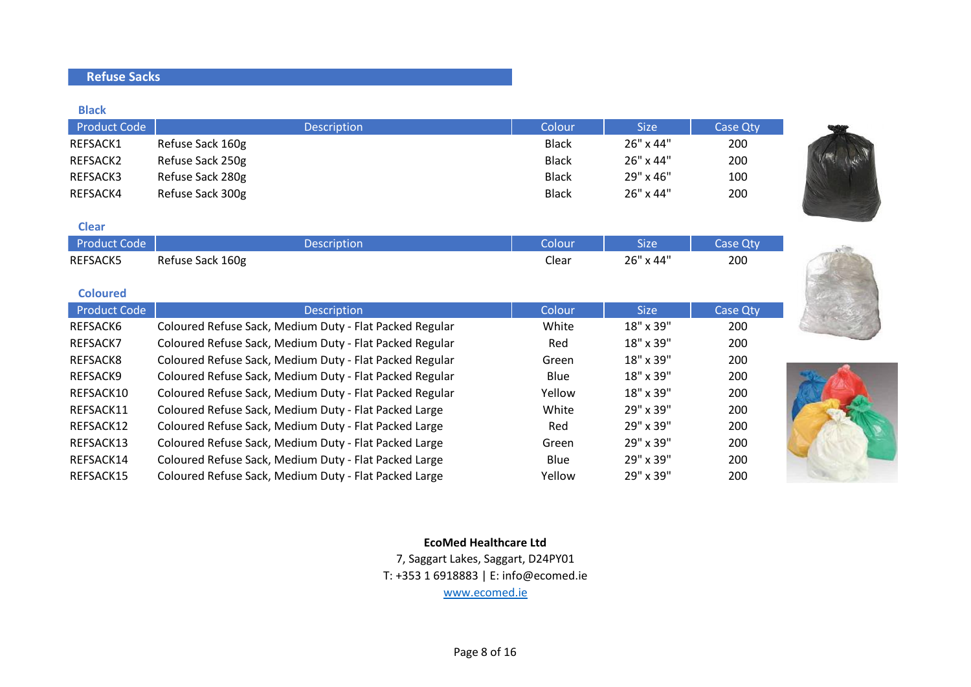## **Refuse Sacks**

**Black**

| <b>Product Code</b> | <b>Description</b> | Colour       | <b>Size</b>      | Case Qty |
|---------------------|--------------------|--------------|------------------|----------|
| REFSACK1            | Refuse Sack 160g   | <b>Black</b> | $26" \times 44"$ | 200      |
| REFSACK2            | Refuse Sack 250g   | <b>Black</b> | $26" \times 44"$ | 200      |
| REFSACK3            | Refuse Sack 280g   | <b>Black</b> | $29" \times 46"$ | 100      |
| REFSACK4            | Refuse Sack 300g   | <b>Black</b> | $26" \times 44"$ | 200      |

#### **Clear**

| Product Code    | Description      | olour | <b>Size</b> | Case Otv |
|-----------------|------------------|-------|-------------|----------|
| <b>REFSACK5</b> | Refuse Sack 160g | Clear | 26" x 44"   | 200      |

| <b>Coloured</b>     |                                                         |        |             |                 |
|---------------------|---------------------------------------------------------|--------|-------------|-----------------|
| <b>Product Code</b> | <b>Description</b>                                      | Colour | <b>Size</b> | <b>Case Qty</b> |
| REFSACK6            | Coloured Refuse Sack, Medium Duty - Flat Packed Regular | White  | 18" x 39"   | 200             |
| REFSACK7            | Coloured Refuse Sack, Medium Duty - Flat Packed Regular | Red    | 18" x 39"   | 200             |
| REFSACK8            | Coloured Refuse Sack, Medium Duty - Flat Packed Regular | Green  | 18" x 39"   | 200             |
| REFSACK9            | Coloured Refuse Sack, Medium Duty - Flat Packed Regular | Blue   | 18" x 39"   | 200             |
| REFSACK10           | Coloured Refuse Sack, Medium Duty - Flat Packed Regular | Yellow | 18" x 39"   | 200             |
| REFSACK11           | Coloured Refuse Sack, Medium Duty - Flat Packed Large   | White  | 29" x 39"   | 200             |
| REFSACK12           | Coloured Refuse Sack, Medium Duty - Flat Packed Large   | Red    | 29" x 39"   | 200             |
| REFSACK13           | Coloured Refuse Sack, Medium Duty - Flat Packed Large   | Green  | 29" x 39"   | 200             |
| REFSACK14           | Coloured Refuse Sack, Medium Duty - Flat Packed Large   | Blue   | 29" x 39"   | 200             |
| REFSACK15           | Coloured Refuse Sack, Medium Duty - Flat Packed Large   | Yellow | 29" x 39"   | 200             |



**EcoMed Healthcare Ltd** 7, Saggart Lakes, Saggart, D24PY01

T: +353 1 6918883 | E: info@ecomed.ie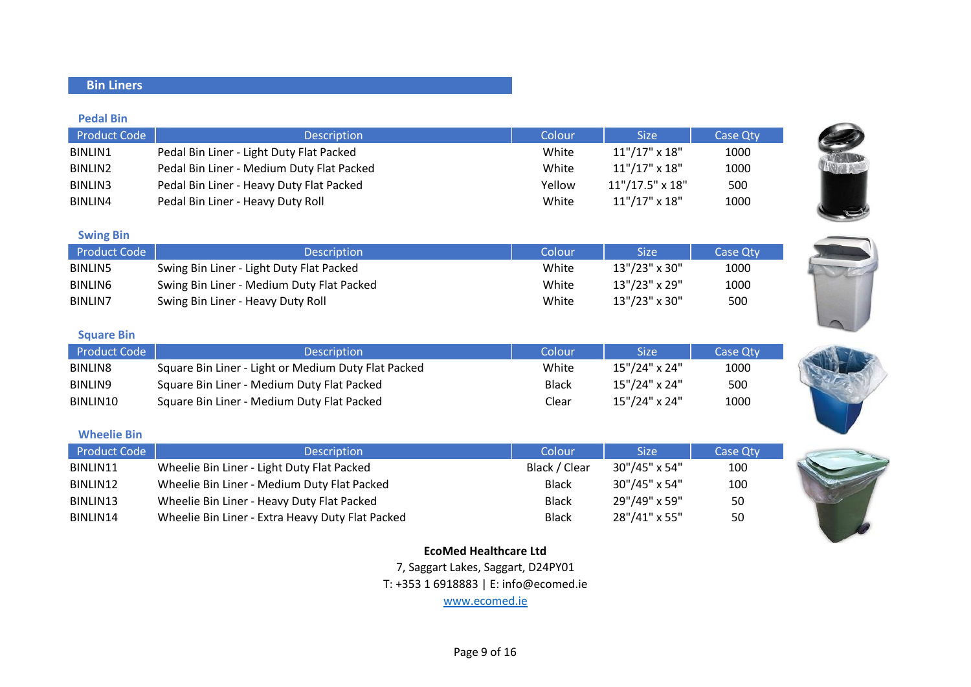## **Bin Liners**

#### **Pedal Bin**

| <b>Product Code</b> | <b>Description</b>                        | Colour | <b>Size</b>            | Case Qty |
|---------------------|-------------------------------------------|--------|------------------------|----------|
| BINLIN1             | Pedal Bin Liner - Light Duty Flat Packed  | White  | $11" / 17" \times 18"$ | 1000     |
| BINLIN2             | Pedal Bin Liner - Medium Duty Flat Packed | White  | $11" / 17" \times 18"$ | 1000     |
| BINLIN3             | Pedal Bin Liner - Heavy Duty Flat Packed  | Yellow | $11''/17.5''$ x $18''$ | 500      |
| BINLIN4             | Pedal Bin Liner - Heavy Duty Roll         | White  | $11" / 17" \times 18"$ | 1000     |

#### **Swing Bin**

| Product Code   | <b>Description</b>                        | Colour | Size'         | <b>Case Qty</b> |
|----------------|-------------------------------------------|--------|---------------|-----------------|
| <b>BINLIN5</b> | Swing Bin Liner - Light Duty Flat Packed  | White  | 13"/23" x 30" | 1000            |
| <b>BINLING</b> | Swing Bin Liner - Medium Duty Flat Packed | White  | 13"/23" x 29" | 1000            |
| BINLIN7        | Swing Bin Liner - Heavy Duty Roll         | White  | 13"/23" x 30" | 500             |

#### **Square Bin**

| Product Code | <b>Description</b>                                  | Colour       | <b>Size</b>            | Case Oty |
|--------------|-----------------------------------------------------|--------------|------------------------|----------|
| BINLIN8      | Square Bin Liner - Light or Medium Duty Flat Packed | White        | $15" / 24" \times 24"$ | 1000     |
| BINLIN9      | Square Bin Liner - Medium Duty Flat Packed          | <b>Black</b> | $15" / 24" \times 24"$ | 500      |
| BINLIN10     | Square Bin Liner - Medium Duty Flat Packed          | Clear        | $15" / 24" \times 24"$ | 1000     |

#### **Wheelie Bin**

| <b>Product Code</b> | <b>Description</b>                               | Colour        | <b>Size</b>   | Case Qty |
|---------------------|--------------------------------------------------|---------------|---------------|----------|
| BINLIN11            | Wheelie Bin Liner - Light Duty Flat Packed       | Black / Clear | 30"/45" x 54" | 100      |
| BINLIN12            | Wheelie Bin Liner - Medium Duty Flat Packed      | <b>Black</b>  | 30"/45" x 54" | 100      |
| BINLIN13            | Wheelie Bin Liner - Heavy Duty Flat Packed       | <b>Black</b>  | 29"/49" x 59" | 50       |
| BINLIN14            | Wheelie Bin Liner - Extra Heavy Duty Flat Packed | <b>Black</b>  | 28"/41" x 55" | 50       |

## **EcoMed Healthcare Ltd**

7, Saggart Lakes, Saggart, D24PY01 T: +353 1 6918883 | E: info@ecomed.ie www.ecomed.ie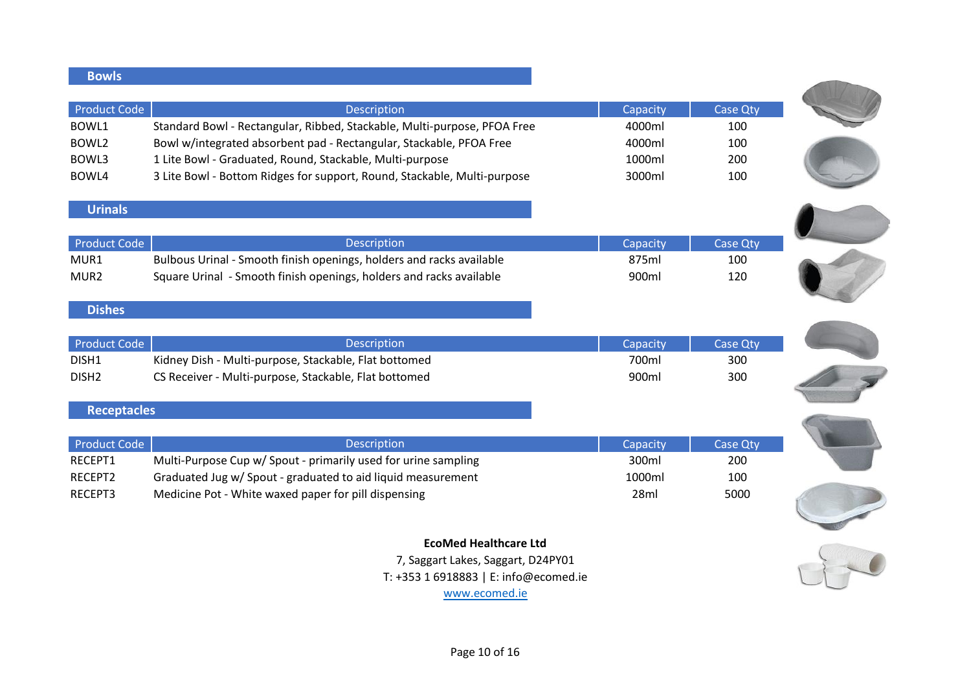| <b>Bowls</b>        |                                                                          |          |                 |
|---------------------|--------------------------------------------------------------------------|----------|-----------------|
| <b>Product Code</b> | Description                                                              | Capacity | Case Qty        |
| BOWL1               | Standard Bowl - Rectangular, Ribbed, Stackable, Multi-purpose, PFOA Free | 4000ml   | 100             |
| BOWL2               | Bowl w/integrated absorbent pad - Rectangular, Stackable, PFOA Free      | 4000ml   | 100             |
| BOWL3               | 1 Lite Bowl - Graduated, Round, Stackable, Multi-purpose                 | 1000ml   | 200             |
| BOWL4               | 3 Lite Bowl - Bottom Ridges for support, Round, Stackable, Multi-purpose | 3000ml   | 100             |
|                     |                                                                          |          |                 |
| <b>Urinals</b>      |                                                                          |          |                 |
| <b>Product Code</b> | Description                                                              | Capacity | <b>Case Qty</b> |
| MUR1                | Bulbous Urinal - Smooth finish openings, holders and racks available     | 875ml    | 100             |
| MUR2                | Square Urinal - Smooth finish openings, holders and racks available      | 900ml    | 120             |
|                     |                                                                          |          |                 |
| <b>Dishes</b>       |                                                                          |          |                 |
| <b>Product Code</b> | Description                                                              | Capacity | <b>Case Qty</b> |
| DISH1               | Kidney Dish - Multi-purpose, Stackable, Flat bottomed                    | 700ml    | 300             |
| DISH <sub>2</sub>   | CS Receiver - Multi-purpose, Stackable, Flat bottomed                    | 900ml    | 300             |
|                     |                                                                          |          |                 |
| <b>Receptacles</b>  |                                                                          |          |                 |
| <b>Product Code</b> | Description                                                              | Capacity | <b>Case Qty</b> |
| RECEPT1             | Multi-Purpose Cup w/ Spout - primarily used for urine sampling           | 300ml    | 200             |
| RECEPT2             | Graduated Jug w/ Spout - graduated to aid liquid measurement             | 1000ml   | 100             |
| RECEPT3             | Medicine Pot - White waxed paper for pill dispensing                     | 28ml     | 5000            |
|                     |                                                                          |          |                 |
|                     | <b>EcoMed Healthcare Ltd</b>                                             |          |                 |
|                     | 7, Saggart Lakes, Saggart, D24PY01                                       |          |                 |
|                     | T: +353 1 6918883   E: info@ecomed.ie                                    |          |                 |
|                     | www.ecomed.ie                                                            |          |                 |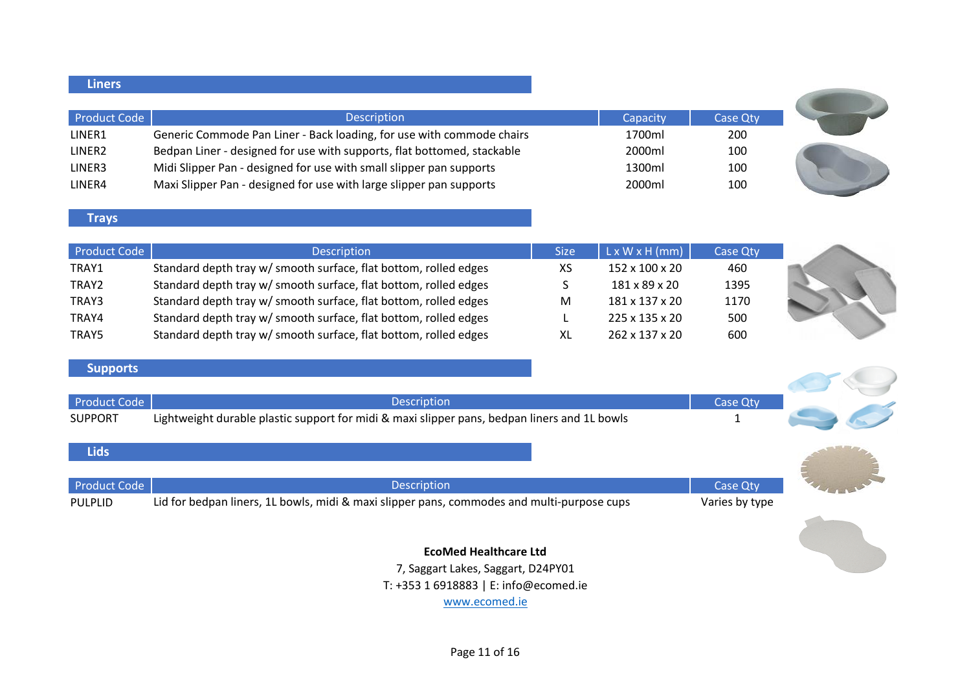| Liners /           |                                                                         |          |          |  |
|--------------------|-------------------------------------------------------------------------|----------|----------|--|
| Product Code       | <b>Description</b>                                                      | Capacity | Case Qty |  |
| LINER1             | Generic Commode Pan Liner - Back loading, for use with commode chairs   | 1700ml   | 200      |  |
| LINER <sub>2</sub> | Bedpan Liner - designed for use with supports, flat bottomed, stackable | 2000ml   | 100      |  |
| LINER3             | Midi Slipper Pan - designed for use with small slipper pan supports     | 1300ml   | 100      |  |
| LINER4             | Maxi Slipper Pan - designed for use with large slipper pan supports     | 2000ml   | 100      |  |

#### **Trays**

| Product Code    | <b>Description</b>                                               | <b>Size</b> | $L \times W \times H$ (mm) | <b>Case Qty</b> |  |
|-----------------|------------------------------------------------------------------|-------------|----------------------------|-----------------|--|
| TRAY1           | Standard depth tray w/ smooth surface, flat bottom, rolled edges | XS          | 152 x 100 x 20             | 460             |  |
| TRAY2           | Standard depth tray w/ smooth surface, flat bottom, rolled edges |             | 181 x 89 x 20              | 1395            |  |
| TRAY3           | Standard depth tray w/ smooth surface, flat bottom, rolled edges | M           | 181 x 137 x 20             | 1170            |  |
| TRAY4           | Standard depth tray w/ smooth surface, flat bottom, rolled edges |             | $225 \times 135 \times 20$ | 500             |  |
| TRAY5           | Standard depth tray w/ smooth surface, flat bottom, rolled edges | XL          | $262 \times 137 \times 20$ | 600             |  |
|                 |                                                                  |             |                            |                 |  |
| <b>Supports</b> |                                                                  |             |                            |                 |  |
|                 |                                                                  |             |                            |                 |  |

## **Supports**

| Product Code<br><b>SUPPORT</b> | Description<br>Lightweight durable plastic support for midi & maxi slipper pans, bedpan liners and 1L bowls      | Case Qty                          |  |
|--------------------------------|------------------------------------------------------------------------------------------------------------------|-----------------------------------|--|
| <b>Lids</b>                    |                                                                                                                  |                                   |  |
| Product Code<br><b>PULPLID</b> | <b>Description</b><br>Lid for bedpan liners, 1L bowls, midi & maxi slipper pans, commodes and multi-purpose cups | <b>Case Qty</b><br>Varies by type |  |
|                                |                                                                                                                  |                                   |  |

**EcoMed Healthcare Ltd** 7, Saggart Lakes, Saggart, D24PY01 T: +353 1 6918883 | E: info@ecomed.ie www.ecomed.ie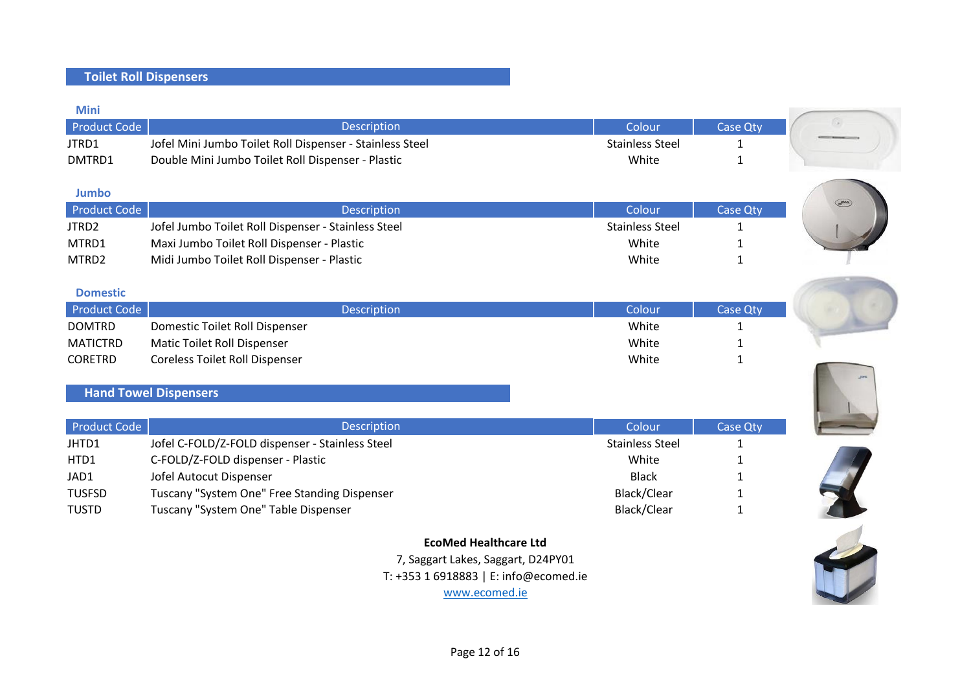## **Toilet Roll Dispensers**

| <b>Mini</b>  |                                                          |                        |                 |
|--------------|----------------------------------------------------------|------------------------|-----------------|
| Product Code | Description                                              | Colour                 | <b>Case Qty</b> |
| JTRD1        | Jofel Mini Jumbo Toilet Roll Dispenser - Stainless Steel | <b>Stainless Steel</b> |                 |
| DMTRD1       | Double Mini Jumbo Toilet Roll Dispenser - Plastic        | White                  |                 |

| <b>Jumbo</b> |                                                     |                        |          |
|--------------|-----------------------------------------------------|------------------------|----------|
| Product Code | <b>Description</b>                                  | Colour                 | Case Qty |
| JTRD2        | Jofel Jumbo Toilet Roll Dispenser - Stainless Steel | <b>Stainless Steel</b> |          |
| MTRD1        | Maxi Jumbo Toilet Roll Dispenser - Plastic          | White                  |          |
| MTRD2        | Midi Jumbo Toilet Roll Dispenser - Plastic          | White                  |          |

| <b>Description</b>                    | Colour       | <b>Case Otv</b> |
|---------------------------------------|--------------|-----------------|
| Domestic Toilet Roll Dispenser        | White        |                 |
| Matic Toilet Roll Dispenser           | White        |                 |
| <b>Coreless Toilet Roll Dispenser</b> | White        |                 |
|                                       | Product Code |                 |

## **Hand Towel Dispensers**

| Product Code  | <b>Description</b>                              | Colour i               | <b>Case Qty</b> |
|---------------|-------------------------------------------------|------------------------|-----------------|
| JHTD1         | Jofel C-FOLD/Z-FOLD dispenser - Stainless Steel | <b>Stainless Steel</b> |                 |
| HTD1          | C-FOLD/Z-FOLD dispenser - Plastic               | White                  |                 |
| JAD1          | Jofel Autocut Dispenser                         | <b>Black</b>           |                 |
| <b>TUSFSD</b> | Tuscany "System One" Free Standing Dispenser    | Black/Clear            |                 |
| <b>TUSTD</b>  | Tuscany "System One" Table Dispenser            | Black/Clear            |                 |

## **EcoMed Healthcare Ltd** 7, Saggart Lakes, Saggart, D24PY01 T: +353 1 6918883 | E: info@ecomed.ie







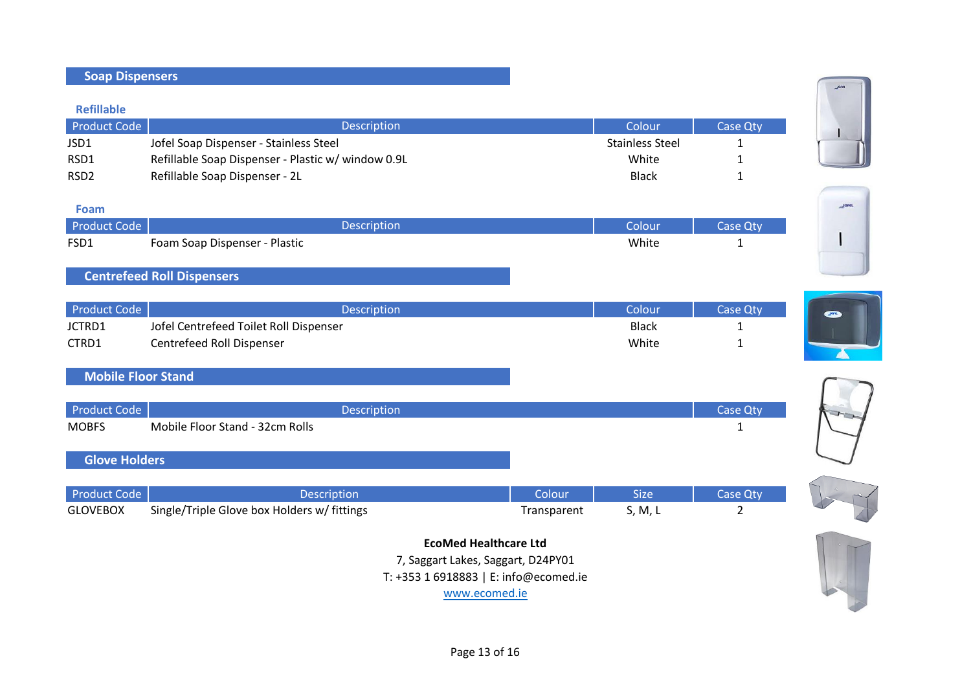| <b>Product Code</b>       | Description                                        |             | Colour                 | <b>Case Qty</b> |              |
|---------------------------|----------------------------------------------------|-------------|------------------------|-----------------|--------------|
| JSD1                      | Jofel Soap Dispenser - Stainless Steel             |             | <b>Stainless Steel</b> | 1               |              |
| RSD1                      | Refillable Soap Dispenser - Plastic w/ window 0.9L |             | White                  | 1               |              |
| RSD <sub>2</sub>          | Refillable Soap Dispenser - 2L                     |             | <b>Black</b>           | $\mathbf{1}$    |              |
|                           |                                                    |             |                        |                 |              |
| Foam                      |                                                    |             |                        |                 | <b>JOFFL</b> |
| <b>Product Code</b>       | Description                                        |             | Colour                 | <b>Case Qty</b> |              |
| FSD1                      | Foam Soap Dispenser - Plastic                      |             | White                  | $\mathbf{1}$    |              |
|                           |                                                    |             |                        |                 |              |
|                           | <b>Centrefeed Roll Dispensers</b>                  |             |                        |                 |              |
|                           |                                                    |             |                        |                 |              |
| <b>Product Code</b>       | Description                                        |             | Colour                 | <b>Case Qty</b> |              |
| JCTRD1                    | Jofel Centrefeed Toilet Roll Dispenser             |             | <b>Black</b>           | 1               |              |
| CTRD1                     | Centrefeed Roll Dispenser                          |             | White                  | $\mathbf{1}$    |              |
|                           |                                                    |             |                        |                 |              |
| <b>Mobile Floor Stand</b> |                                                    |             |                        |                 |              |
|                           |                                                    |             |                        |                 |              |
| <b>Product Code</b>       | Description                                        |             |                        | <b>Case Qty</b> |              |
| <b>MOBFS</b>              | Mobile Floor Stand - 32cm Rolls                    |             |                        | $\mathbf{1}$    |              |
|                           |                                                    |             |                        |                 |              |
| <b>Glove Holders</b>      |                                                    |             |                        |                 |              |
|                           |                                                    |             |                        |                 |              |
| <b>Product Code</b>       | Description                                        | Colour      | <b>Size</b>            | Case Qty        |              |
| <b>GLOVEBOX</b>           | Single/Triple Glove box Holders w/ fittings        | Transparent | S, M, L                | $\overline{2}$  |              |
|                           |                                                    |             |                        |                 |              |
|                           | <b>EcoMed Healthcare Ltd</b>                       |             |                        |                 |              |
|                           | 7, Saggart Lakes, Saggart, D24PY01                 |             |                        |                 |              |
|                           | T: +353 1 6918883   E: info@ecomed.ie              |             |                        |                 |              |
|                           | www.ecomed.ie                                      |             |                        |                 |              |
|                           |                                                    |             |                        |                 |              |

**Refillable**

**Soap Dispensers**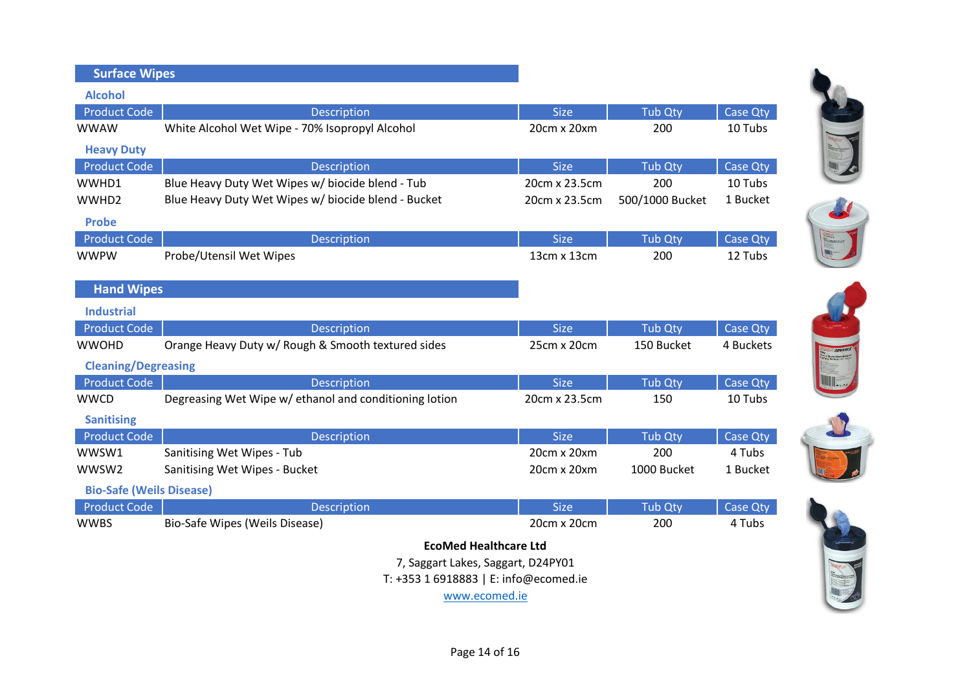| <b>Surface Wipes</b>            |                                                        |               |                 |           |
|---------------------------------|--------------------------------------------------------|---------------|-----------------|-----------|
| <b>Alcohol</b>                  |                                                        |               |                 |           |
| <b>Product Code</b>             | Description                                            | <b>Size</b>   | Tub Qty         | Case Qty  |
| <b>WWAW</b>                     | White Alcohol Wet Wipe - 70% Isopropyl Alcohol         | 20cm x 20xm   | 200             | 10 Tubs   |
| <b>Heavy Duty</b>               |                                                        |               |                 |           |
| <b>Product Code</b>             | Description                                            | <b>Size</b>   | Tub Qty         | Case Qty  |
| WWHD1                           | Blue Heavy Duty Wet Wipes w/ biocide blend - Tub       | 20cm x 23.5cm | 200             | 10 Tubs   |
| WWHD2                           | Blue Heavy Duty Wet Wipes w/ biocide blend - Bucket    | 20cm x 23.5cm | 500/1000 Bucket | 1 Bucket  |
| <b>Probe</b>                    |                                                        |               |                 |           |
| <b>Product Code</b>             | Description                                            | <b>Size</b>   | <b>Tub Qty</b>  | Case Qty  |
| <b>WWPW</b>                     | Probe/Utensil Wet Wipes                                | 13cm x 13cm   | 200             | 12 Tubs   |
|                                 |                                                        |               |                 |           |
| <b>Hand Wipes</b>               |                                                        |               |                 |           |
| <b>Industrial</b>               |                                                        |               |                 |           |
| <b>Product Code</b>             | Description                                            | <b>Size</b>   | <b>Tub Qty</b>  | Case Qty  |
| <b>WWOHD</b>                    | Orange Heavy Duty w/ Rough & Smooth textured sides     | 25cm x 20cm   | 150 Bucket      | 4 Buckets |
| <b>Cleaning/Degreasing</b>      |                                                        |               |                 |           |
| <b>Product Code</b>             | Description                                            | <b>Size</b>   | <b>Tub Qty</b>  | Case Qty  |
| <b>WWCD</b>                     | Degreasing Wet Wipe w/ ethanol and conditioning lotion | 20cm x 23.5cm | 150             | 10 Tubs   |
| <b>Sanitising</b>               |                                                        |               |                 |           |
| <b>Product Code</b>             | Description                                            | <b>Size</b>   | Tub Qty         | Case Qty  |
| WWSW1                           | Sanitising Wet Wipes - Tub                             | 20cm x 20xm   | 200             | 4 Tubs    |
| WWSW2                           | Sanitising Wet Wipes - Bucket                          | 20cm x 20xm   | 1000 Bucket     | 1 Bucket  |
| <b>Bio-Safe (Weils Disease)</b> |                                                        |               |                 |           |
| <b>Product Code</b>             | Description                                            | <b>Size</b>   | <b>Tub Qty</b>  | Case Qty  |
| <b>WWBS</b>                     | Bio-Safe Wipes (Weils Disease)                         | 20cm x 20cm   | 200             | 4 Tubs    |
|                                 | <b>EcoMed Healthcare Ltd</b>                           |               |                 |           |
|                                 | 7, Saggart Lakes, Saggart, D24PY01                     |               |                 |           |
|                                 | T: +353 1 6918883   E: info@ecomed.ie                  |               |                 |           |

www.ecomed.ie











Page 14 of 16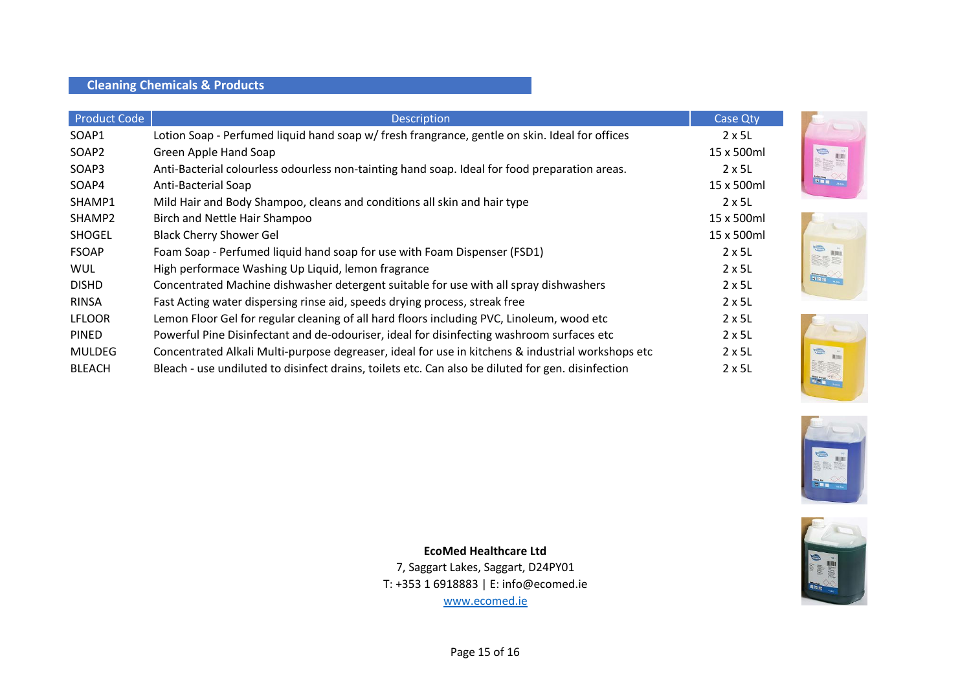## **Cleaning Chemicals & Products**

| <b>Product Code</b> | <b>Description</b>                                                                                 | Case Qty       |
|---------------------|----------------------------------------------------------------------------------------------------|----------------|
| SOAP1               | Lotion Soap - Perfumed liquid hand soap w/ fresh frangrance, gentle on skin. Ideal for offices     | $2 \times 5L$  |
| SOAP <sub>2</sub>   | Green Apple Hand Soap                                                                              | 15 x 500ml     |
| SOAP3               | Anti-Bacterial colourless odourless non-tainting hand soap. Ideal for food preparation areas.      | $2 \times 5L$  |
| SOAP4               | Anti-Bacterial Soap                                                                                | 15 x 500ml     |
| SHAMP1              | Mild Hair and Body Shampoo, cleans and conditions all skin and hair type                           | $2 \times 5L$  |
| SHAMP2              | Birch and Nettle Hair Shampoo                                                                      | 15 x 500ml     |
| SHOGEL              | <b>Black Cherry Shower Gel</b>                                                                     | 15 x 500ml     |
| <b>FSOAP</b>        | Foam Soap - Perfumed liquid hand soap for use with Foam Dispenser (FSD1)                           | $2 \times 5L$  |
| <b>WUL</b>          | High performace Washing Up Liquid, lemon fragrance                                                 | $2 \times 5$ L |
| <b>DISHD</b>        | Concentrated Machine dishwasher detergent suitable for use with all spray dishwashers              | $2 \times 5$ L |
| <b>RINSA</b>        | Fast Acting water dispersing rinse aid, speeds drying process, streak free                         | $2 \times 5L$  |
| <b>LFLOOR</b>       | Lemon Floor Gel for regular cleaning of all hard floors including PVC, Linoleum, wood etc          | $2 \times 5L$  |
| <b>PINED</b>        | Powerful Pine Disinfectant and de-odouriser, ideal for disinfecting washroom surfaces etc          | $2 \times 5L$  |
| <b>MULDEG</b>       | Concentrated Alkali Multi-purpose degreaser, ideal for use in kitchens & industrial workshops etc  | $2 \times 5L$  |
| <b>BLEACH</b>       | Bleach - use undiluted to disinfect drains, toilets etc. Can also be diluted for gen. disinfection | $2 \times 5L$  |











www.ecomed.ie **EcoMed Healthcare Ltd** 7, Saggart Lakes, Saggart, D24PY01 T: +353 1 6918883 | E: info@ecomed.ie